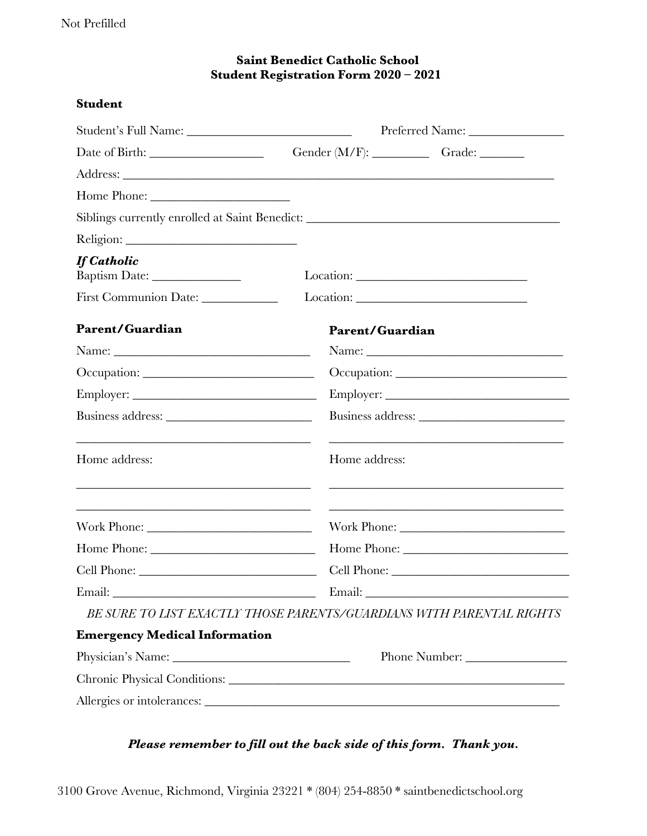## **Saint Benedict Catholic School Student Registration Form 2020 – 2021**

#### **Student**

|                                                                                                                                   |                        | Gender (M/F): Grade: ________                                                                                                                                                       |  |
|-----------------------------------------------------------------------------------------------------------------------------------|------------------------|-------------------------------------------------------------------------------------------------------------------------------------------------------------------------------------|--|
|                                                                                                                                   |                        |                                                                                                                                                                                     |  |
|                                                                                                                                   |                        |                                                                                                                                                                                     |  |
| Siblings currently enrolled at Saint Benedict: __________________________________                                                 |                        |                                                                                                                                                                                     |  |
|                                                                                                                                   |                        |                                                                                                                                                                                     |  |
| <b>If Catholic</b><br>Baptism Date: __________________                                                                            |                        |                                                                                                                                                                                     |  |
| First Communion Date: _____________                                                                                               |                        |                                                                                                                                                                                     |  |
| Parent/Guardian                                                                                                                   | <b>Parent/Guardian</b> |                                                                                                                                                                                     |  |
|                                                                                                                                   |                        |                                                                                                                                                                                     |  |
| Occupation:                                                                                                                       |                        |                                                                                                                                                                                     |  |
|                                                                                                                                   |                        |                                                                                                                                                                                     |  |
|                                                                                                                                   |                        |                                                                                                                                                                                     |  |
| and the control of the control of the control of the control of the control of the control of the control of the<br>Home address: | Home address:          | <u> 1989 - Johann Stoff, amerikansk politiker (* 1908)</u><br><u> 1989 - Johann Harry Harry Harry Harry Harry Harry Harry Harry Harry Harry Harry Harry Harry Harry Harry Harry</u> |  |
|                                                                                                                                   |                        |                                                                                                                                                                                     |  |
|                                                                                                                                   |                        |                                                                                                                                                                                     |  |
|                                                                                                                                   |                        |                                                                                                                                                                                     |  |
|                                                                                                                                   |                        |                                                                                                                                                                                     |  |
| BE SURE TO LIST EXACTLY THOSE PARENTS/GUARDIANS WITH PARENTAL RIGHTS                                                              |                        |                                                                                                                                                                                     |  |
| <b>Emergency Medical Information</b>                                                                                              |                        |                                                                                                                                                                                     |  |
|                                                                                                                                   |                        |                                                                                                                                                                                     |  |
|                                                                                                                                   |                        |                                                                                                                                                                                     |  |
| Allergies or intolerances:                                                                                                        |                        |                                                                                                                                                                                     |  |

# *Please remember to fill out the back side of this form. Thank you.*